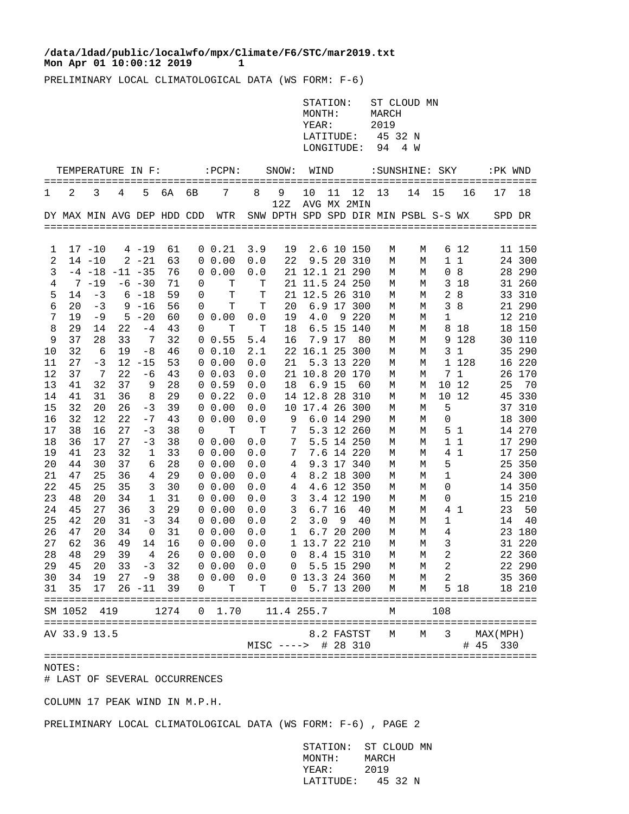## **Mon Apr 01 10:00:12 2019 1 /data/ldad/public/localwfo/mpx/Climate/F6/STC/mar2019.txt**

PRELIMINARY LOCAL CLIMATOLOGICAL DATA (WS FORM: F-6)

|          |                   |              |                        |                   |                 |                |                                         |                       |                     | STATION:<br>MONTH:<br>YEAR:<br>LATITUDE:<br>LONGITUDE: |          |                              | MARCH<br>2019<br>45 32 N | ST CLOUD MN<br>94 4 W                |                |                |           |     |                  |
|----------|-------------------|--------------|------------------------|-------------------|-----------------|----------------|-----------------------------------------|-----------------------|---------------------|--------------------------------------------------------|----------|------------------------------|--------------------------|--------------------------------------|----------------|----------------|-----------|-----|------------------|
|          | TEMPERATURE IN F: |              |                        |                   |                 |                | $:$ $PCPN:$                             |                       | SNOW:               | WIND                                                   |          |                              |                          | : SUNSHINE: SKY                      |                |                |           |     | :PK WND          |
| 1        | 2                 | 3            | 4                      | 5                 | 6A              | 6В             | 7                                       | 8                     | 9                   | 10                                                     | 11       | 12                           | 13                       | 14                                   | 15             | 16             | 17        |     | 18               |
|          |                   |              |                        |                   |                 |                | DY MAX MIN AVG DEP HDD CDD WTR          |                       | 12Z                 |                                                        |          | AVG MX 2MIN                  |                          | SNW DPTH SPD SPD DIR MIN PSBL S-S WX |                |                |           |     | SPD DR           |
|          |                   |              |                        |                   |                 |                |                                         |                       |                     |                                                        |          |                              |                          |                                      |                |                |           |     |                  |
| ı        | $17 - 10$         |              |                        | $4 - 19$          | 61              |                | 0 0.21                                  | 3.9                   | 19                  |                                                        |          | 2.6 10 150                   | М                        | М                                    |                | 6 12           |           |     | 11 150           |
| 2        | $14 - 10$         |              |                        | $2 - 21$          | 63              |                | $0\;\;0.00$                             | 0.0                   | 22                  |                                                        |          | 9.5 20 310                   | М                        | М                                    |                | $1\quad1$      |           |     | 24 300           |
| 3        |                   |              | $-4$ $-18$ $-11$ $-35$ |                   | 76              |                | $0\;\;0.00$                             | 0.0                   |                     |                                                        |          | 21 12.1 21 290               | М                        | М                                    | 0              | - 8            |           |     | 28 290           |
| 4        |                   | $7 - 19$     |                        | $-6 - 30$         | 71              | 0              | Т                                       | т                     |                     |                                                        |          | 21 11.5 24 250               | М                        | М                                    |                | 3 18           |           |     | 31 260           |
| 5<br>6   | 14<br>20          | $-3$<br>$-3$ |                        | 6 -18<br>$9 - 16$ | 59<br>56        | 0<br>0         | Т<br>т                                  | T<br>т                | 20                  |                                                        |          | 21 12.5 26 310<br>6.9 17 300 | М                        | М                                    | 2              | 8<br>38        |           |     | 33 310<br>21 290 |
| 7        | 19                | $-9$         |                        | $5 - 20$          | 60              |                | $0\;\;0.00$                             | 0.0                   | 19                  | 4.0                                                    |          | 9 220                        | М<br>М                   | М<br>М                               | 1              |                |           |     | 12 210           |
| 8        | 29                | 14           | 22                     | $-4$              | 43              | 0              | Т                                       | т                     | 18                  |                                                        |          | 6.5 15 140                   | M                        | М                                    |                | 8 18           |           |     | 18 150           |
| 9        | 37                | 28           | 33                     | $\overline{7}$    | 32              |                | 0, 0.55                                 | 5.4                   | 16                  |                                                        | 7.9 17   | - 80                         | М                        | М                                    |                | 9 128          |           |     | 30 110           |
| 10       | 32                | 6            | 19                     | -8                | 46              |                | 0 0.10                                  | 2.1                   |                     |                                                        |          | 22 16.1 25 300               | М                        | М                                    |                | 31             |           |     | 35 290           |
| 11       | 27                | $-3$         | 12                     | $-15$             | 53              |                | $0\;\;0.00$                             | 0.0                   | 21                  |                                                        |          | 5.3 13 220                   | М                        | М                                    |                | 1 128          |           |     | 16 220           |
| 12       | 37                | 7            | 22                     | -6                | 43              |                | $0\;\;0.03$                             | 0.0                   |                     |                                                        |          | 21 10.8 20 170               | М                        | М                                    |                | 7 <sub>1</sub> |           |     | 26 170           |
| 13       | 41                | 32           | 37                     | 9                 | 28              |                | 0, 0.59                                 | 0.0                   | 18                  |                                                        | $6.9$ 15 | 60                           | М                        | М                                    |                | 10 12          |           | 25  | 70               |
| 14       | 41                | 31           | 36                     | 8                 | 29              |                | $0 \t 0.22$                             | 0.0                   |                     |                                                        |          | 14 12.8 28 310               | М                        | М                                    |                | 10 12          |           |     | 45 330           |
| 15       | 32                | 20           | 26                     | $-3$              | 39              |                | $0\;\;0.00$                             | 0.0                   |                     |                                                        |          | 10 17.4 26 300               | М                        | М                                    | 5              |                |           |     | 37 310           |
| 16       | 32                | 12           | 22                     | $-7$              | 43              |                | $0\;\;0.00$                             | 0.0                   | 9                   |                                                        |          | 6.0 14 290                   | М                        | М                                    | 0              |                |           |     | 18 300           |
| 17       | 38                | 16           | 27                     | $-3$              | 38              | 0              | т                                       | т                     | 7                   |                                                        |          | 5.3 12 260                   | M                        | М                                    |                | 5 <sub>1</sub> |           |     | 14 270           |
| 18       | 36                | 17           | 27                     | $-3$              | 38              |                | $0\;\;0.00$                             | 0.0                   | 7                   |                                                        |          | 5.5 14 250                   | М                        | М                                    | 1              | 1              |           |     | 17 290           |
| 19       | 41<br>44          | 23<br>30     | 32<br>37               | 1                 | 33              |                | $0\;\;0.00$<br>$0\;\;0.00$              | 0.0                   | 7                   |                                                        |          | 7.6 14 220                   | М                        | М                                    |                | 4 <sub>1</sub> |           |     | 17 250           |
| 20<br>21 | 47                | 25           | 36                     | 6<br>4            | 28<br>29        |                | $0\;\;0.00$                             | 0.0<br>0.0            | 4<br>4              |                                                        |          | 9.3 17 340<br>8.2 18 300     | M<br>М                   | М<br>М                               | 5<br>1         |                |           |     | 25 350<br>24 300 |
| 22       | 45                | 25           | 35                     | 3                 | 30              |                | $0\;\;0.00$                             | 0.0                   | 4                   |                                                        |          | 4.6 12 350                   | М                        | М                                    | 0              |                |           |     | 14 350           |
| 23       | 48                | 20           | 34                     | 1                 | 31              |                | $0\;\;0.00$                             | 0.0                   | 3                   |                                                        |          | 3.4 12 190                   | М                        | М                                    | 0              |                |           |     | 15 210           |
| 24       | 45                | 27           | 36                     | 3                 | 29              |                | $0\;\;0.00$                             | 0.0                   | 3                   |                                                        | 6.7 16   | 40                           | М                        | М                                    |                | 41             |           | 23  | 50               |
| 25       | 42                | 20           | 31                     | $-3$              | 34              |                | $0\;\;0.00$                             | 0.0                   | $\overline{a}$      | 3.0                                                    | 9        | 40                           | М                        | М                                    | 1              |                |           | 14  | 40               |
| 26       | 47                | 20           | 34                     | $\overline{0}$    | 31              |                | $0\;\;0.00$                             | 0.0                   | $\mathbf{1}$        |                                                        |          | 6.7 20 200                   | М                        | М                                    | 4              |                |           |     | 23 180           |
| 27       | 62                | 36           | 49                     | 14                | 16              |                | 0, 0.00                                 | 0.0                   |                     |                                                        |          | 1 13.7 22 210                | М                        | М                                    | 3              |                |           |     | 31 220           |
| 28       | 48                | 29           | 39                     | $\overline{4}$    |                 |                | 26 0 0.00 0.0 0 8.4 15 310              |                       |                     |                                                        |          |                              |                          | $M$ $M$                              | $\overline{a}$ |                |           |     | 22 360           |
|          | 29 45             |              |                        |                   | $20$ 33 $-3$ 32 |                | $0\ 0.00$                               | 0.0                   |                     |                                                        |          | $0$ 5.5 15 290               | М                        | М                                    | 2              |                |           |     | 22 290           |
|          |                   |              |                        |                   |                 |                | 30  34  19  27  -9  38  00.00           | ${\bf 0}$ . ${\bf 0}$ | 0 13.3 24 360       |                                                        |          |                              | М                        | М                                    | 2              |                |           |     | 35 360           |
|          | 31 35 17          |              |                        |                   | $26 - 11$ 39    | $\overline{0}$ | T                                       | т                     |                     |                                                        |          | $0$ 5.7 13 200               | М                        | М                                    |                | 5 18           |           |     | 18 210           |
|          |                   |              |                        |                   |                 |                | SM 1052 419  1274  0  1.70  11.4  255.7 |                       |                     |                                                        |          |                              | М                        |                                      | 108            |                |           |     |                  |
|          | AV 33.9 13.5      |              |                        |                   |                 |                |                                         |                       |                     |                                                        |          | 8.2 FASTST                   | М                        | M                                    | 3              |                | MAX (MPH) |     |                  |
|          |                   |              |                        |                   |                 |                |                                         |                       | MISC ----> # 28 310 |                                                        |          |                              |                          |                                      |                |                | # 45      | 330 |                  |

================================================================================

NOTES:

# LAST OF SEVERAL OCCURRENCES

COLUMN 17 PEAK WIND IN M.P.H.

PRELIMINARY LOCAL CLIMATOLOGICAL DATA (WS FORM: F-6) , PAGE 2

 STATION: ST CLOUD MN MONTH: MARCH YEAR: 2019 LATITUDE: 45 32 N